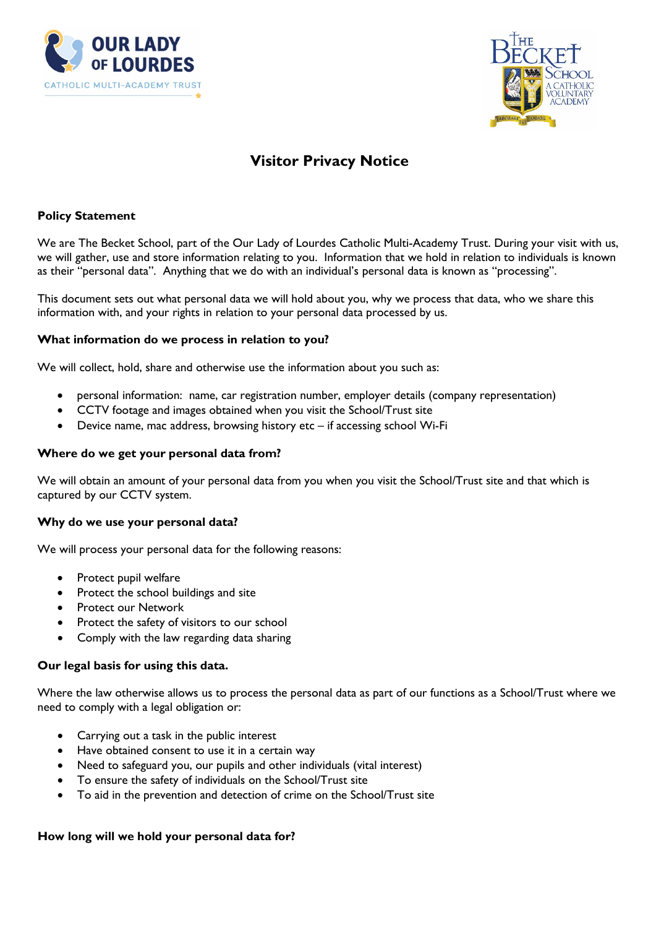



# **Visitor Privacy Notice**

# **Policy Statement**

We are The Becket School, part of the Our Lady of Lourdes Catholic Multi-Academy Trust. During your visit with us, we will gather, use and store information relating to you. Information that we hold in relation to individuals is known as their "personal data". Anything that we do with an individual's personal data is known as "processing".

This document sets out what personal data we will hold about you, why we process that data, who we share this information with, and your rights in relation to your personal data processed by us.

## **What information do we process in relation to you?**

We will collect, hold, share and otherwise use the information about you such as:

- personal information: name, car registration number, employer details (company representation)
- CCTV footage and images obtained when you visit the School/Trust site
- Device name, mac address, browsing history etc if accessing school Wi-Fi

## **Where do we get your personal data from?**

We will obtain an amount of your personal data from you when you visit the School/Trust site and that which is captured by our CCTV system.

#### **Why do we use your personal data?**

We will process your personal data for the following reasons:

- Protect pupil welfare
- Protect the school buildings and site
- Protect our Network
- Protect the safety of visitors to our school
- Comply with the law regarding data sharing

## **Our legal basis for using this data.**

Where the law otherwise allows us to process the personal data as part of our functions as a School/Trust where we need to comply with a legal obligation or:

- Carrying out a task in the public interest
- Have obtained consent to use it in a certain way
- Need to safeguard you, our pupils and other individuals (vital interest)
- To ensure the safety of individuals on the School/Trust site
- To aid in the prevention and detection of crime on the School/Trust site

#### **How long will we hold your personal data for?**